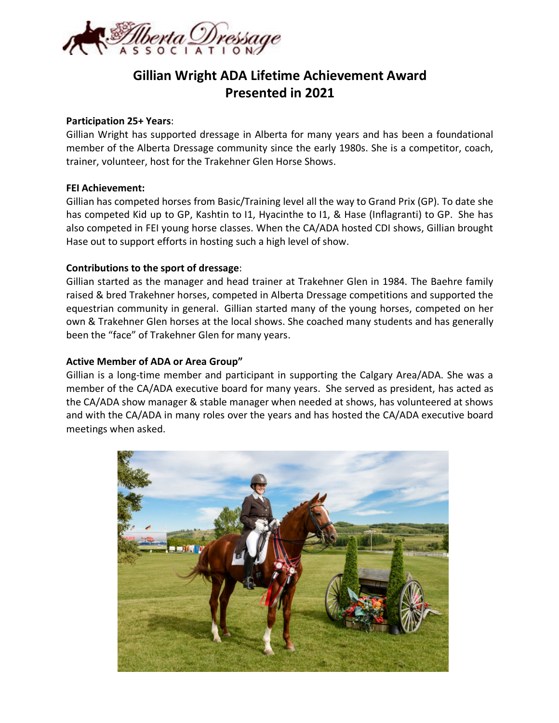

# **Gillian Wright ADA Lifetime Achievement Award Presented in 2021**

#### **Participation 25+ Years**:

Gillian Wright has supported dressage in Alberta for many years and has been a foundational member of the Alberta Dressage community since the early 1980s. She is a competitor, coach, trainer, volunteer, host for the Trakehner Glen Horse Shows.

#### **FEI Achievement:**

Gillian has competed horses from Basic/Training level all the way to Grand Prix (GP). To date she has competed Kid up to GP, Kashtin to I1, Hyacinthe to I1, & Hase (Inflagranti) to GP. She has also competed in FEI young horse classes. When the CA/ADA hosted CDI shows, Gillian brought Hase out to support efforts in hosting such a high level of show.

#### **Contributions to the sport of dressage**:

Gillian started as the manager and head trainer at Trakehner Glen in 1984. The Baehre family raised & bred Trakehner horses, competed in Alberta Dressage competitions and supported the equestrian community in general. Gillian started many of the young horses, competed on her own & Trakehner Glen horses at the local shows. She coached many students and has generally been the "face" of Trakehner Glen for many years.

## **Active Member of ADA or Area Group"**

Gillian is a long-time member and participant in supporting the Calgary Area/ADA. She was a member of the CA/ADA executive board for many years. She served as president, has acted as the CA/ADA show manager & stable manager when needed at shows, has volunteered at shows and with the CA/ADA in many roles over the years and has hosted the CA/ADA executive board meetings when asked.